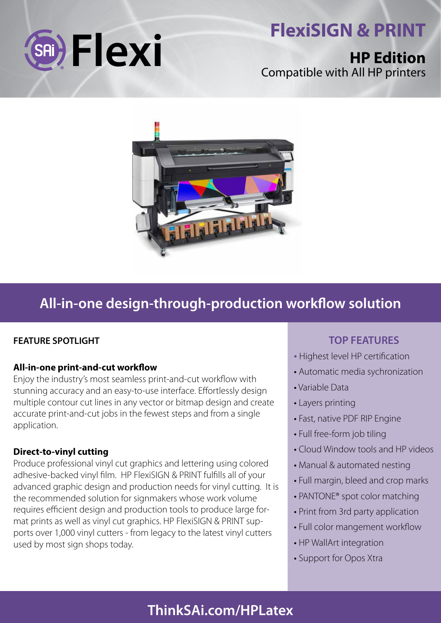

# **HP Edition** Compatible with All HP printers



# **All-in-one design-through-production workflow solution**

### **FEATURE SPOTLIGHT**

#### **All-in-one print-and-cut workflow**

Enjoy the industry's most seamless print-and-cut workflow with stunning accuracy and an easy-to-use interface. Effortlessly design multiple contour cut lines in any vector or bitmap design and create accurate print-and-cut jobs in the fewest steps and from a single application.

#### **Direct-to-vinyl cutting**

Produce professional vinyl cut graphics and lettering using colored adhesive-backed vinyl film. HP FlexiSIGN & PRINT fulfills all of your advanced graphic design and production needs for vinyl cutting. It is the recommended solution for signmakers whose work volume requires efficient design and production tools to produce large format prints as well as vinyl cut graphics. HP FlexiSIGN & PRINT supports over 1,000 vinyl cutters - from legacy to the latest vinyl cutters used by most sign shops today.

## **TOP FEATURES**

- Highest level HP certification
- Automatic media sychronization
- Variable Data
- Layers printing
- Fast, native PDF RIP Engine
- Full free-form job tiling
- Cloud Window tools and HP videos
- Manual & automated nesting
- Full margin, bleed and crop marks
- PANTONE® spot color matching
- Print from 3rd party application
- Full color mangement workflow
- HP WallArt integration
- Support for Opos Xtra

# **ThinkSAi.com/HPLatex**